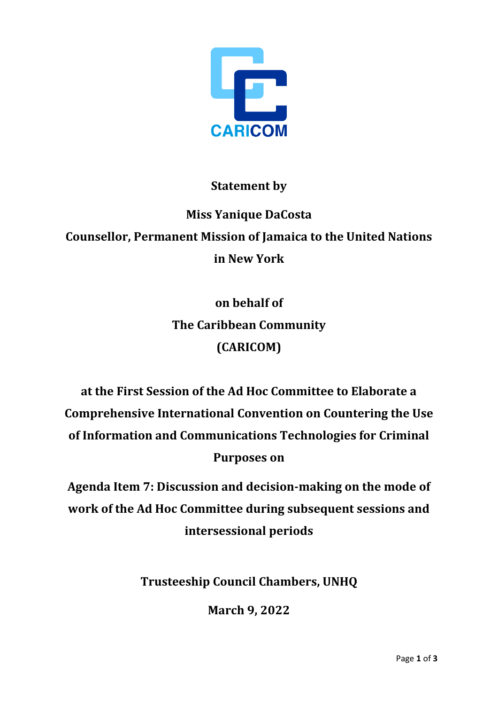

## **Statement by**

## **Miss Yanique DaCosta Counsellor, Permanent Mission of Jamaica to the United Nations in New York**

**on behalf of The Caribbean Community (CARICOM)**

**at the First Session of the Ad Hoc Committee to Elaborate a Comprehensive International Convention on Countering the Use of Information and Communications Technologies for Criminal Purposes on**

**Agenda Item 7: Discussion and decision-making on the mode of work of the Ad Hoc Committee during subsequent sessions and intersessional periods** 

**Trusteeship Council Chambers, UNHQ**

**March 9, 2022**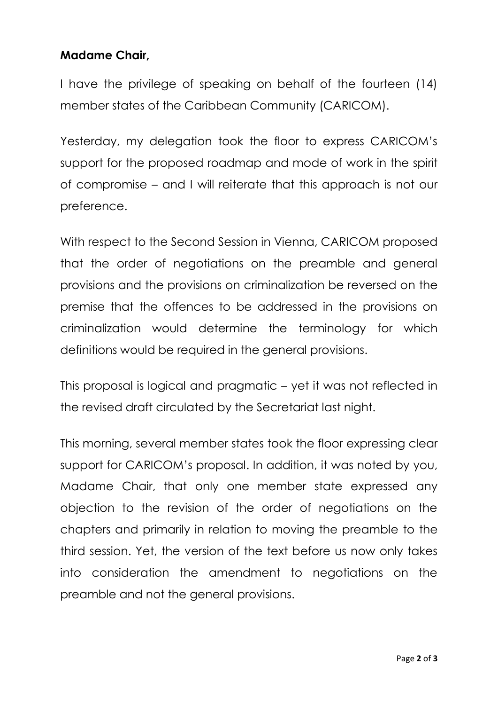## **Madame Chair,**

I have the privilege of speaking on behalf of the fourteen (14) member states of the Caribbean Community (CARICOM).

Yesterday, my delegation took the floor to express CARICOM's support for the proposed roadmap and mode of work in the spirit of compromise – and I will reiterate that this approach is not our preference.

With respect to the Second Session in Vienna, CARICOM proposed that the order of negotiations on the preamble and general provisions and the provisions on criminalization be reversed on the premise that the offences to be addressed in the provisions on criminalization would determine the terminology for which definitions would be required in the general provisions.

This proposal is logical and pragmatic – yet it was not reflected in the revised draft circulated by the Secretariat last night.

This morning, several member states took the floor expressing clear support for CARICOM's proposal. In addition, it was noted by you, Madame Chair, that only one member state expressed any objection to the revision of the order of negotiations on the chapters and primarily in relation to moving the preamble to the third session. Yet, the version of the text before us now only takes into consideration the amendment to negotiations on the preamble and not the general provisions.